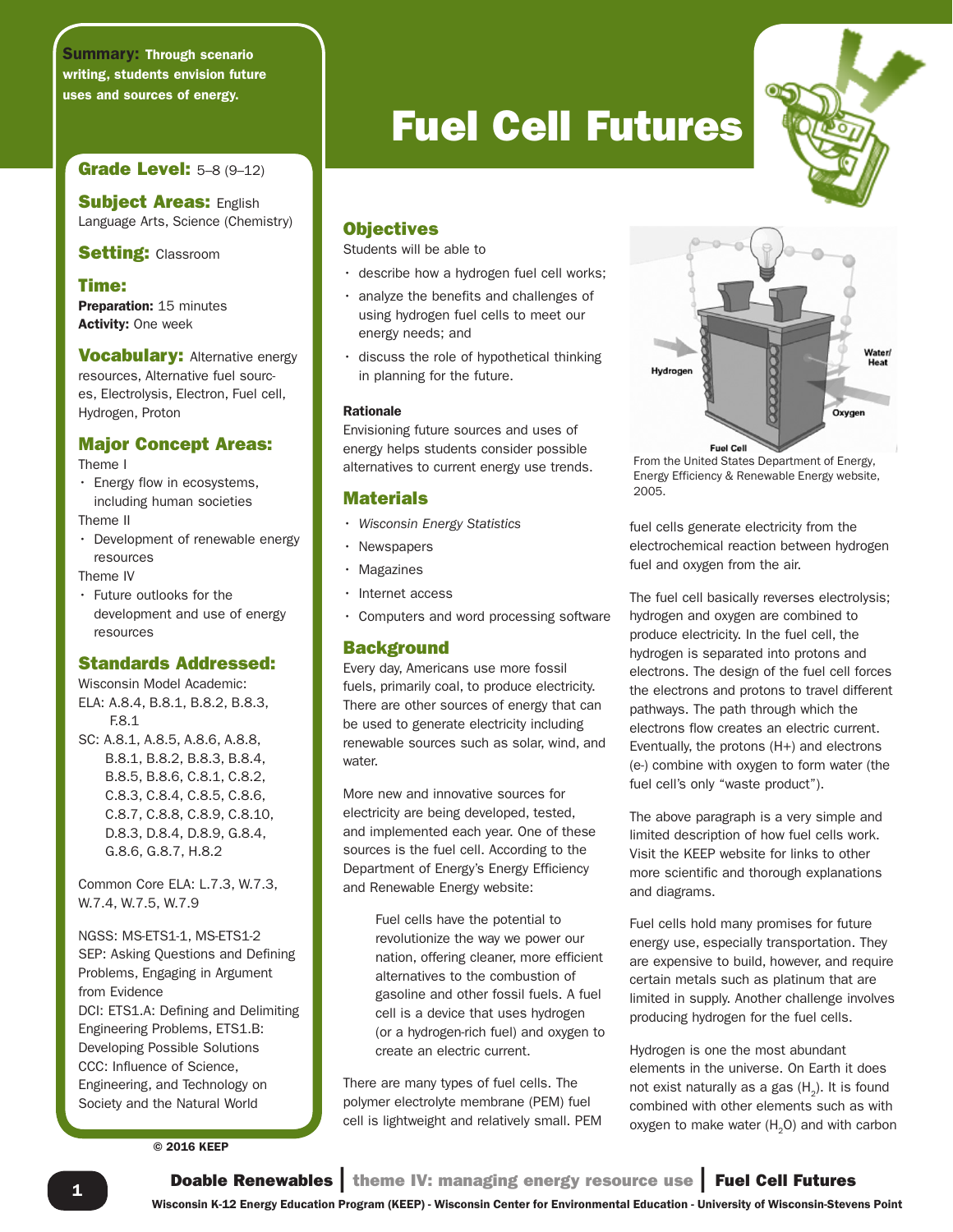Summary: Through scenario writing, students envision future uses and sources of energy.

# Grade Level: 5–8 (9–12)

**Subject Areas: English** Language Arts, Science (Chemistry)

**Setting: Classroom** 

# Time:

Preparation: 15 minutes Activity: One week

**Vocabulary:** Alternative energy resources, Alternative fuel sources, Electrolysis, Electron, Fuel cell, Hydrogen, Proton

# Major Concept Areas:

#### Theme I

• Energy flow in ecosystems, including human societies

Theme II

• Development of renewable energy resources

Theme IV

• Future outlooks for the development and use of energy resources

# Standards Addressed:

Wisconsin Model Academic: ELA: A.8.4, B.8.1, B.8.2, B.8.3, F.8.1 SC: A.8.1, A.8.5, A.8.6, A.8.8, B.8.1, B.8.2, B.8.3, B.8.4, B.8.5, B.8.6, C.8.1, C.8.2, C.8.3, C.8.4, C.8.5, C.8.6, C.8.7, C.8.8, C.8.9, C.8.10, D.8.3, D.8.4, D.8.9, G.8.4, G.8.6, G.8.7, H.8.2

Common Core ELA: L.7.3, W.7.3, W.7.4, W.7.5, W.7.9

NGSS: MS-ETS1-1, MS-ETS1-2 SEP: Asking Questions and Defining Problems, Engaging in Argument from Evidence DCI: ETS1.A: Defining and Delimiting Engineering Problems, ETS1.B: Developing Possible Solutions CCC: Influence of Science, Engineering, and Technology on Society and the Natural World

© 2016 KEEP

# Fuel Cell Futures

# **Objectives**

Students will be able to

- describe how a hydrogen fuel cell works;
- analyze the benefits and challenges of using hydrogen fuel cells to meet our energy needs; and
- discuss the role of hypothetical thinking in planning for the future.

#### Rationale

Envisioning future sources and uses of energy helps students consider possible alternatives to current energy use trends.

# **Materials**

- *Wisconsin Energy Statistics*
- Newspapers
- Magazines
- Internet access
- Computers and word processing software

# **Background**

Every day, Americans use more fossil fuels, primarily coal, to produce electricity. There are other sources of energy that can be used to generate electricity including renewable sources such as solar, wind, and water.

More new and innovative sources for electricity are being developed, tested, and implemented each year. One of these sources is the fuel cell. According to the Department of Energy's Energy Efficiency and Renewable Energy website:

> Fuel cells have the potential to revolutionize the way we power our nation, offering cleaner, more efficient alternatives to the combustion of gasoline and other fossil fuels. A fuel cell is a device that uses hydrogen (or a hydrogen-rich fuel) and oxygen to create an electric current.

There are many types of fuel cells. The polymer electrolyte membrane (PEM) fuel cell is lightweight and relatively small. PEM



From the United States Department of Energy, Energy Efficiency & Renewable Energy website, 2005.

fuel cells generate electricity from the electrochemical reaction between hydrogen fuel and oxygen from the air.

The fuel cell basically reverses electrolysis; hydrogen and oxygen are combined to produce electricity. In the fuel cell, the hydrogen is separated into protons and electrons. The design of the fuel cell forces the electrons and protons to travel different pathways. The path through which the electrons flow creates an electric current. Eventually, the protons (H+) and electrons (e-) combine with oxygen to form water (the fuel cell's only "waste product").

The above paragraph is a very simple and limited description of how fuel cells work. Visit the KEEP website for links to other more scientific and thorough explanations and diagrams.

Fuel cells hold many promises for future energy use, especially transportation. They are expensive to build, however, and require certain metals such as platinum that are limited in supply. Another challenge involves producing hydrogen for the fuel cells.

Hydrogen is one the most abundant elements in the universe. On Earth it does not exist naturally as a gas  $(H_2)$ . It is found combined with other elements such as with oxygen to make water  $(H<sub>2</sub>O)$  and with carbon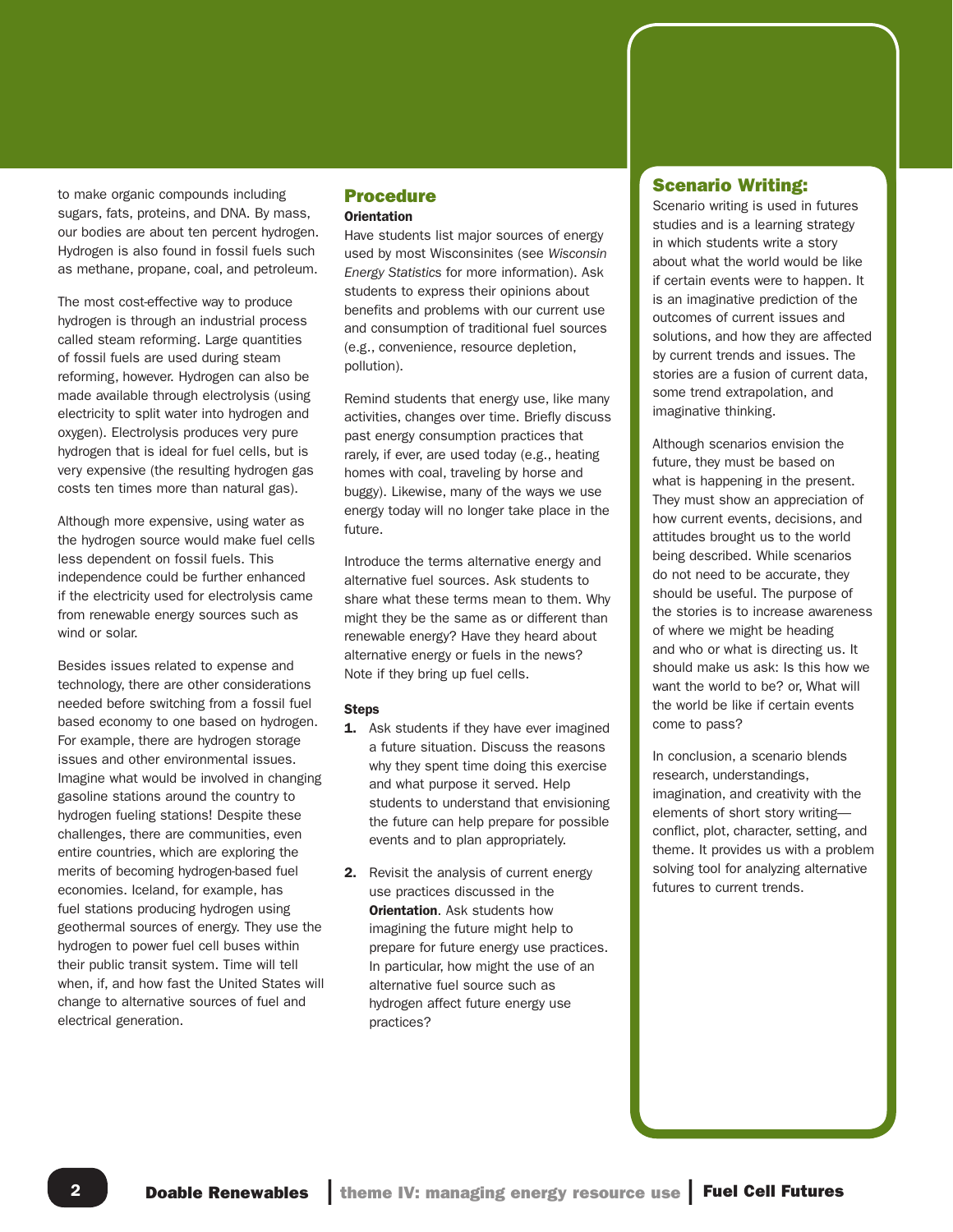to make organic compounds including sugars, fats, proteins, and DNA. By mass, our bodies are about ten percent hydrogen. Hydrogen is also found in fossil fuels such as methane, propane, coal, and petroleum.

The most cost-effective way to produce hydrogen is through an industrial process called steam reforming. Large quantities of fossil fuels are used during steam reforming, however. Hydrogen can also be made available through electrolysis (using electricity to split water into hydrogen and oxygen). Electrolysis produces very pure hydrogen that is ideal for fuel cells, but is very expensive (the resulting hydrogen gas costs ten times more than natural gas).

Although more expensive, using water as the hydrogen source would make fuel cells less dependent on fossil fuels. This independence could be further enhanced if the electricity used for electrolysis came from renewable energy sources such as wind or solar.

Besides issues related to expense and technology, there are other considerations needed before switching from a fossil fuel based economy to one based on hydrogen. For example, there are hydrogen storage issues and other environmental issues. Imagine what would be involved in changing gasoline stations around the country to hydrogen fueling stations! Despite these challenges, there are communities, even entire countries, which are exploring the merits of becoming hydrogen-based fuel economies. Iceland, for example, has fuel stations producing hydrogen using geothermal sources of energy. They use the hydrogen to power fuel cell buses within their public transit system. Time will tell when, if, and how fast the United States will change to alternative sources of fuel and electrical generation.

## Procedure **Orientation**

Have students list major sources of energy used by most Wisconsinites (see *Wisconsin Energy Statistics* for more information). Ask students to express their opinions about benefits and problems with our current use and consumption of traditional fuel sources (e.g., convenience, resource depletion, pollution).

Remind students that energy use, like many activities, changes over time. Briefly discuss past energy consumption practices that rarely, if ever, are used today (e.g., heating homes with coal, traveling by horse and buggy). Likewise, many of the ways we use energy today will no longer take place in the future.

Introduce the terms alternative energy and alternative fuel sources. Ask students to share what these terms mean to them. Why might they be the same as or different than renewable energy? Have they heard about alternative energy or fuels in the news? Note if they bring up fuel cells.

#### Steps

- **1.** Ask students if they have ever imagined a future situation. Discuss the reasons why they spent time doing this exercise and what purpose it served. Help students to understand that envisioning the future can help prepare for possible events and to plan appropriately.
- 2. Revisit the analysis of current energy use practices discussed in the **Orientation.** Ask students how imagining the future might help to prepare for future energy use practices. In particular, how might the use of an alternative fuel source such as hydrogen affect future energy use practices?

# Scenario Writing:

Scenario writing is used in futures studies and is a learning strategy in which students write a story about what the world would be like if certain events were to happen. It is an imaginative prediction of the outcomes of current issues and solutions, and how they are affected by current trends and issues. The stories are a fusion of current data, some trend extrapolation, and imaginative thinking.

Although scenarios envision the future, they must be based on what is happening in the present. They must show an appreciation of how current events, decisions, and attitudes brought us to the world being described. While scenarios do not need to be accurate, they should be useful. The purpose of the stories is to increase awareness of where we might be heading and who or what is directing us. It should make us ask: Is this how we want the world to be? or, What will the world be like if certain events come to pass?

In conclusion, a scenario blends research, understandings, imagination, and creativity with the elements of short story writing conflict, plot, character, setting, and theme. It provides us with a problem solving tool for analyzing alternative futures to current trends.